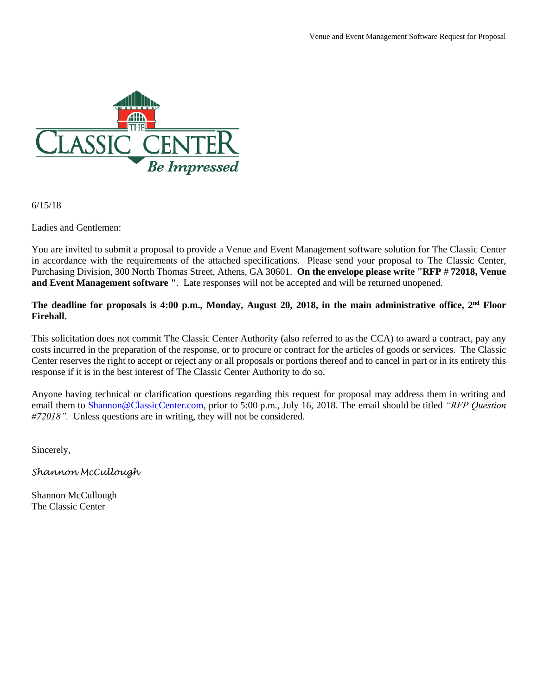

6/15/18

Ladies and Gentlemen:

You are invited to submit a proposal to provide a Venue and Event Management software solution for The Classic Center in accordance with the requirements of the attached specifications. Please send your proposal to The Classic Center, Purchasing Division, 300 North Thomas Street, Athens, GA 30601. **On the envelope please write "RFP** # **72018, Venue and Event Management software "**. Late responses will not be accepted and will be returned unopened.

## **The deadline for proposals is 4:00 p.m., Monday, August 20, 2018, in the main administrative office, 2nd Floor Firehall.**

This solicitation does not commit The Classic Center Authority (also referred to as the CCA) to award a contract, pay any costs incurred in the preparation of the response, or to procure or contract for the articles of goods or services. The Classic Center reserves the right to accept or reject any or all proposals or portions thereof and to cancel in part or in its entirety this response if it is in the best interest of The Classic Center Authority to do so.

Anyone having technical or clarification questions regarding this request for proposal may address them in writing and email them to [Shannon@ClassicCenter.com,](mailto:Shannon@ClassicCenter.com) prior to 5:00 p.m., July 16, 2018. The email should be titled *"RFP Question #72018".* Unless questions are in writing, they will not be considered.

Sincerely,

*Shannon McCullough*

Shannon McCullough The Classic Center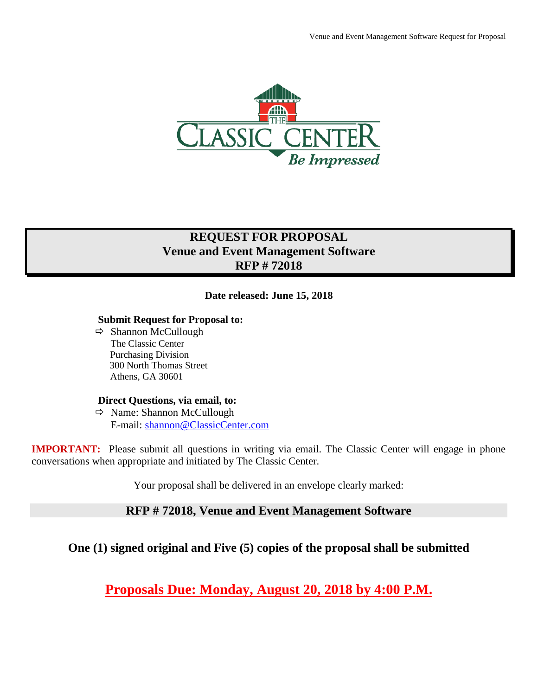

# **REQUEST FOR PROPOSAL Venue and Event Management Software RFP # 72018**

# **Date released: June 15, 2018**

#### **Submit Request for Proposal to:**

 $\Rightarrow$  Shannon McCullough The Classic Center Purchasing Division 300 North Thomas Street Athens, GA 30601

#### **Direct Questions, via email, to:**

 $\Rightarrow$  Name: Shannon McCullough E-mail: [shannon@ClassicCenter.com](mailto:shannon@ClassicCenter.com)

**IMPORTANT:** Please submit all questions in writing via email. The Classic Center will engage in phone conversations when appropriate and initiated by The Classic Center.

Your proposal shall be delivered in an envelope clearly marked:

# **RFP # 72018, Venue and Event Management Software**

**One (1) signed original and Five (5) copies of the proposal shall be submitted**

**Proposals Due: Monday, August 20, 2018 by 4:00 P.M.**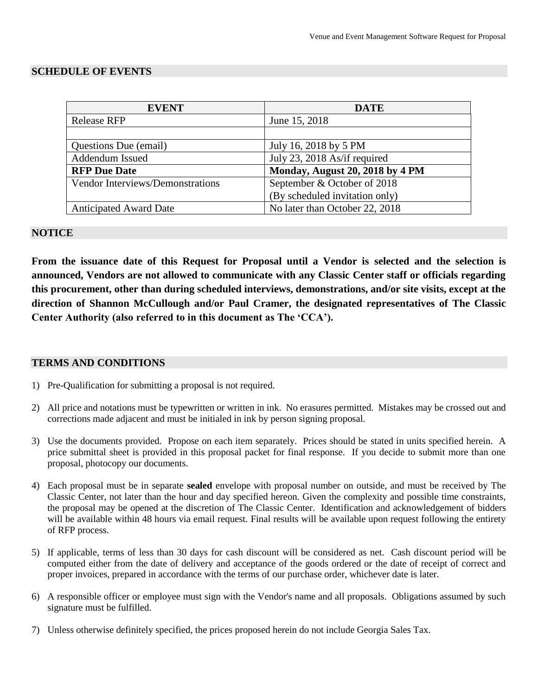#### **SCHEDULE OF EVENTS**

| <b>EVENT</b>                     | <b>DATE</b>                     |
|----------------------------------|---------------------------------|
| <b>Release RFP</b>               | June 15, 2018                   |
|                                  |                                 |
| Questions Due (email)            | July 16, 2018 by 5 PM           |
| Addendum Issued                  | July 23, 2018 As/if required    |
| <b>RFP Due Date</b>              | Monday, August 20, 2018 by 4 PM |
| Vendor Interviews/Demonstrations | September & October of 2018     |
|                                  | (By scheduled invitation only)  |
| <b>Anticipated Award Date</b>    | No later than October 22, 2018  |

#### **NOTICE**

**From the issuance date of this Request for Proposal until a Vendor is selected and the selection is announced, Vendors are not allowed to communicate with any Classic Center staff or officials regarding this procurement, other than during scheduled interviews, demonstrations, and/or site visits, except at the direction of Shannon McCullough and/or Paul Cramer, the designated representatives of The Classic Center Authority (also referred to in this document as The 'CCA').**

#### **TERMS AND CONDITIONS**

- 1) Pre-Qualification for submitting a proposal is not required.
- 2) All price and notations must be typewritten or written in ink. No erasures permitted. Mistakes may be crossed out and corrections made adjacent and must be initialed in ink by person signing proposal.
- 3) Use the documents provided. Propose on each item separately. Prices should be stated in units specified herein. A price submittal sheet is provided in this proposal packet for final response. If you decide to submit more than one proposal, photocopy our documents.
- 4) Each proposal must be in separate **sealed** envelope with proposal number on outside, and must be received by The Classic Center, not later than the hour and day specified hereon. Given the complexity and possible time constraints, the proposal may be opened at the discretion of The Classic Center. Identification and acknowledgement of bidders will be available within 48 hours via email request. Final results will be available upon request following the entirety of RFP process.
- 5) If applicable, terms of less than 30 days for cash discount will be considered as net. Cash discount period will be computed either from the date of delivery and acceptance of the goods ordered or the date of receipt of correct and proper invoices, prepared in accordance with the terms of our purchase order, whichever date is later.
- 6) A responsible officer or employee must sign with the Vendor's name and all proposals. Obligations assumed by such signature must be fulfilled.
- 7) Unless otherwise definitely specified, the prices proposed herein do not include Georgia Sales Tax.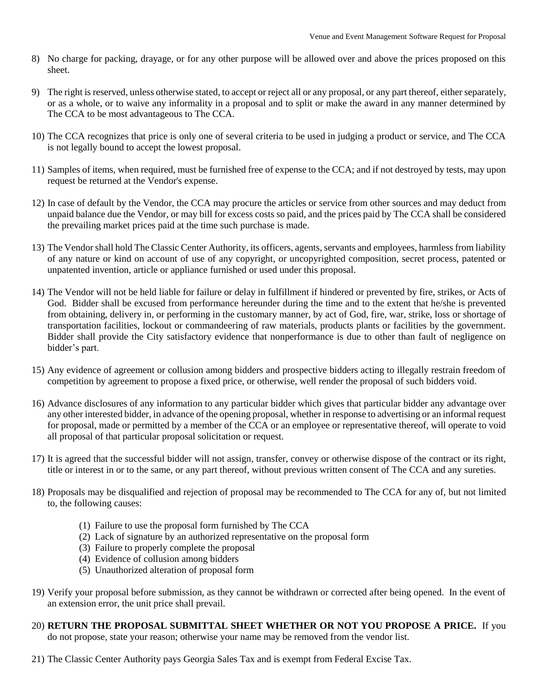- 8) No charge for packing, drayage, or for any other purpose will be allowed over and above the prices proposed on this sheet.
- 9) The right is reserved, unless otherwise stated, to accept or reject all or any proposal, or any part thereof, either separately, or as a whole, or to waive any informality in a proposal and to split or make the award in any manner determined by The CCA to be most advantageous to The CCA.
- 10) The CCA recognizes that price is only one of several criteria to be used in judging a product or service, and The CCA is not legally bound to accept the lowest proposal.
- 11) Samples of items, when required, must be furnished free of expense to the CCA; and if not destroyed by tests, may upon request be returned at the Vendor's expense.
- 12) In case of default by the Vendor, the CCA may procure the articles or service from other sources and may deduct from unpaid balance due the Vendor, or may bill for excess costs so paid, and the prices paid by The CCA shall be considered the prevailing market prices paid at the time such purchase is made.
- 13) The Vendor shall hold The Classic Center Authority, its officers, agents, servants and employees, harmless from liability of any nature or kind on account of use of any copyright, or uncopyrighted composition, secret process, patented or unpatented invention, article or appliance furnished or used under this proposal.
- 14) The Vendor will not be held liable for failure or delay in fulfillment if hindered or prevented by fire, strikes, or Acts of God. Bidder shall be excused from performance hereunder during the time and to the extent that he/she is prevented from obtaining, delivery in, or performing in the customary manner, by act of God, fire, war, strike, loss or shortage of transportation facilities, lockout or commandeering of raw materials, products plants or facilities by the government. Bidder shall provide the City satisfactory evidence that nonperformance is due to other than fault of negligence on bidder's part.
- 15) Any evidence of agreement or collusion among bidders and prospective bidders acting to illegally restrain freedom of competition by agreement to propose a fixed price, or otherwise, well render the proposal of such bidders void.
- 16) Advance disclosures of any information to any particular bidder which gives that particular bidder any advantage over any other interested bidder, in advance of the opening proposal, whether in response to advertising or an informal request for proposal, made or permitted by a member of the CCA or an employee or representative thereof, will operate to void all proposal of that particular proposal solicitation or request.
- 17) It is agreed that the successful bidder will not assign, transfer, convey or otherwise dispose of the contract or its right, title or interest in or to the same, or any part thereof, without previous written consent of The CCA and any sureties.
- 18) Proposals may be disqualified and rejection of proposal may be recommended to The CCA for any of, but not limited to, the following causes:
	- (1) Failure to use the proposal form furnished by The CCA
	- (2) Lack of signature by an authorized representative on the proposal form
	- (3) Failure to properly complete the proposal
	- (4) Evidence of collusion among bidders
	- (5) Unauthorized alteration of proposal form
- 19) Verify your proposal before submission, as they cannot be withdrawn or corrected after being opened. In the event of an extension error, the unit price shall prevail.
- 20) **RETURN THE PROPOSAL SUBMITTAL SHEET WHETHER OR NOT YOU PROPOSE A PRICE.** If you do not propose, state your reason; otherwise your name may be removed from the vendor list.
- 21) The Classic Center Authority pays Georgia Sales Tax and is exempt from Federal Excise Tax.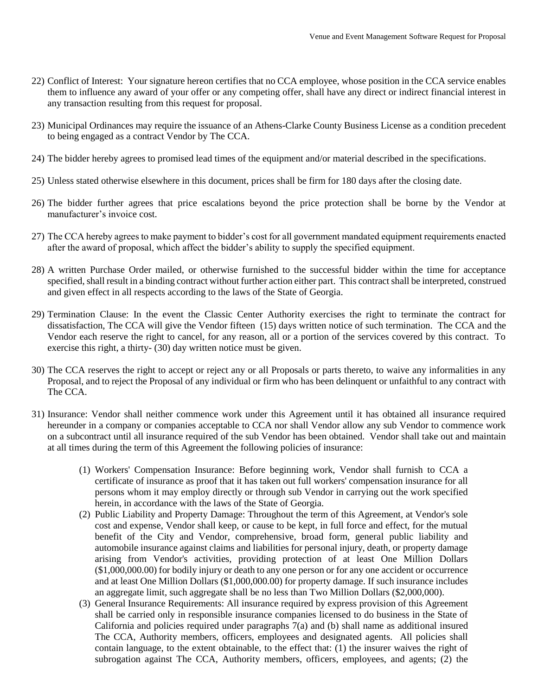- 22) Conflict of Interest: Your signature hereon certifies that no CCA employee, whose position in the CCA service enables them to influence any award of your offer or any competing offer, shall have any direct or indirect financial interest in any transaction resulting from this request for proposal.
- 23) Municipal Ordinances may require the issuance of an Athens-Clarke County Business License as a condition precedent to being engaged as a contract Vendor by The CCA.
- 24) The bidder hereby agrees to promised lead times of the equipment and/or material described in the specifications.
- 25) Unless stated otherwise elsewhere in this document, prices shall be firm for 180 days after the closing date.
- 26) The bidder further agrees that price escalations beyond the price protection shall be borne by the Vendor at manufacturer's invoice cost.
- 27) The CCA hereby agrees to make payment to bidder's cost for all government mandated equipment requirements enacted after the award of proposal, which affect the bidder's ability to supply the specified equipment.
- 28) A written Purchase Order mailed, or otherwise furnished to the successful bidder within the time for acceptance specified, shall result in a binding contract without further action either part. This contract shall be interpreted, construed and given effect in all respects according to the laws of the State of Georgia.
- 29) Termination Clause: In the event the Classic Center Authority exercises the right to terminate the contract for dissatisfaction, The CCA will give the Vendor fifteen (15) days written notice of such termination. The CCA and the Vendor each reserve the right to cancel, for any reason, all or a portion of the services covered by this contract. To exercise this right, a thirty- (30) day written notice must be given.
- 30) The CCA reserves the right to accept or reject any or all Proposals or parts thereto, to waive any informalities in any Proposal, and to reject the Proposal of any individual or firm who has been delinquent or unfaithful to any contract with The CCA.
- 31) Insurance: Vendor shall neither commence work under this Agreement until it has obtained all insurance required hereunder in a company or companies acceptable to CCA nor shall Vendor allow any sub Vendor to commence work on a subcontract until all insurance required of the sub Vendor has been obtained. Vendor shall take out and maintain at all times during the term of this Agreement the following policies of insurance:
	- (1) Workers' Compensation Insurance: Before beginning work, Vendor shall furnish to CCA a certificate of insurance as proof that it has taken out full workers' compensation insurance for all persons whom it may employ directly or through sub Vendor in carrying out the work specified herein, in accordance with the laws of the State of Georgia.
	- (2) Public Liability and Property Damage: Throughout the term of this Agreement, at Vendor's sole cost and expense, Vendor shall keep, or cause to be kept, in full force and effect, for the mutual benefit of the City and Vendor, comprehensive, broad form, general public liability and automobile insurance against claims and liabilities for personal injury, death, or property damage arising from Vendor's activities, providing protection of at least One Million Dollars (\$1,000,000.00) for bodily injury or death to any one person or for any one accident or occurrence and at least One Million Dollars (\$1,000,000.00) for property damage. If such insurance includes an aggregate limit, such aggregate shall be no less than Two Million Dollars (\$2,000,000).
	- (3) General Insurance Requirements: All insurance required by express provision of this Agreement shall be carried only in responsible insurance companies licensed to do business in the State of California and policies required under paragraphs  $7(a)$  and (b) shall name as additional insured The CCA, Authority members, officers, employees and designated agents. All policies shall contain language, to the extent obtainable, to the effect that: (1) the insurer waives the right of subrogation against The CCA, Authority members, officers, employees, and agents; (2) the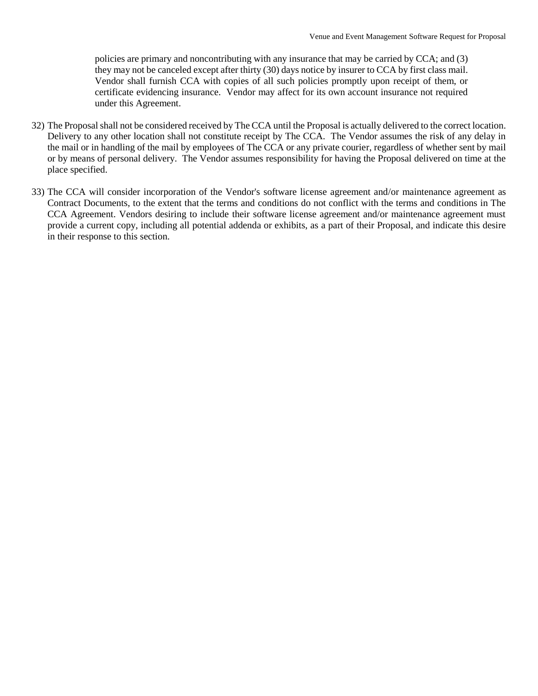policies are primary and noncontributing with any insurance that may be carried by CCA; and (3) they may not be canceled except after thirty (30) days notice by insurer to CCA by first class mail. Vendor shall furnish CCA with copies of all such policies promptly upon receipt of them, or certificate evidencing insurance. Vendor may affect for its own account insurance not required under this Agreement.

- 32) The Proposal shall not be considered received by The CCA until the Proposal is actually delivered to the correct location. Delivery to any other location shall not constitute receipt by The CCA. The Vendor assumes the risk of any delay in the mail or in handling of the mail by employees of The CCA or any private courier, regardless of whether sent by mail or by means of personal delivery. The Vendor assumes responsibility for having the Proposal delivered on time at the place specified.
- 33) The CCA will consider incorporation of the Vendor's software license agreement and/or maintenance agreement as Contract Documents, to the extent that the terms and conditions do not conflict with the terms and conditions in The CCA Agreement. Vendors desiring to include their software license agreement and/or maintenance agreement must provide a current copy, including all potential addenda or exhibits, as a part of their Proposal, and indicate this desire in their response to this section.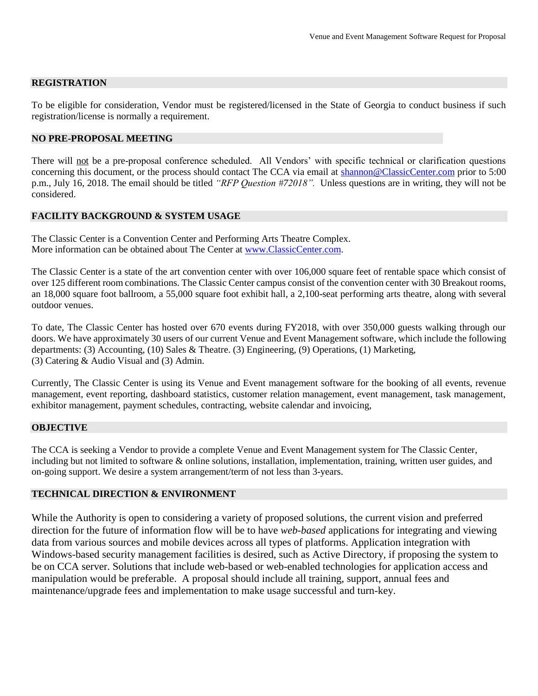#### **REGISTRATION**

To be eligible for consideration, Vendor must be registered/licensed in the State of Georgia to conduct business if such registration/license is normally a requirement.

#### **NO PRE-PROPOSAL MEETING**

There will not be a pre-proposal conference scheduled. All Vendors' with specific technical or clarification questions concerning this document, or the process should contact The CCA via email at [shannon@ClassicCenter.com](mailto:shannon@ClassicCenter.com) prior to 5:00 p.m., July 16, 2018. The email should be titled *"RFP Question #72018".* Unless questions are in writing, they will not be considered.

#### **FACILITY BACKGROUND & SYSTEM USAGE**

The Classic Center is a Convention Center and Performing Arts Theatre Complex. More information can be obtained about The Center at [www.ClassicCenter.com.](http://www.classiccenter.com/)

The Classic Center is a state of the art convention center with over 106,000 square feet of rentable space which consist of over 125 different room combinations. The Classic Center campus consist of the convention center with 30 Breakout rooms, an 18,000 square foot ballroom, a 55,000 square foot exhibit hall, a 2,100-seat performing arts theatre, along with several outdoor venues.

To date, The Classic Center has hosted over 670 events during FY2018, with over 350,000 guests walking through our doors. We have approximately 30 users of our current Venue and Event Management software, which include the following departments: (3) Accounting, (10) Sales & Theatre. (3) Engineering, (9) Operations, (1) Marketing, (3) Catering & Audio Visual and (3) Admin.

Currently, The Classic Center is using its Venue and Event management software for the booking of all events, revenue management, event reporting, dashboard statistics, customer relation management, event management, task management, exhibitor management, payment schedules, contracting, website calendar and invoicing,

#### **OBJECTIVE**

The CCA is seeking a Vendor to provide a complete Venue and Event Management system for The Classic Center, including but not limited to software & online solutions, installation, implementation, training, written user guides, and on-going support. We desire a system arrangement/term of not less than 3-years.

#### **TECHNICAL DIRECTION & ENVIRONMENT**

While the Authority is open to considering a variety of proposed solutions, the current vision and preferred direction for the future of information flow will be to have *web-based* applications for integrating and viewing data from various sources and mobile devices across all types of platforms. Application integration with Windows-based security management facilities is desired, such as Active Directory, if proposing the system to be on CCA server. Solutions that include web-based or web-enabled technologies for application access and manipulation would be preferable. A proposal should include all training, support, annual fees and maintenance/upgrade fees and implementation to make usage successful and turn-key.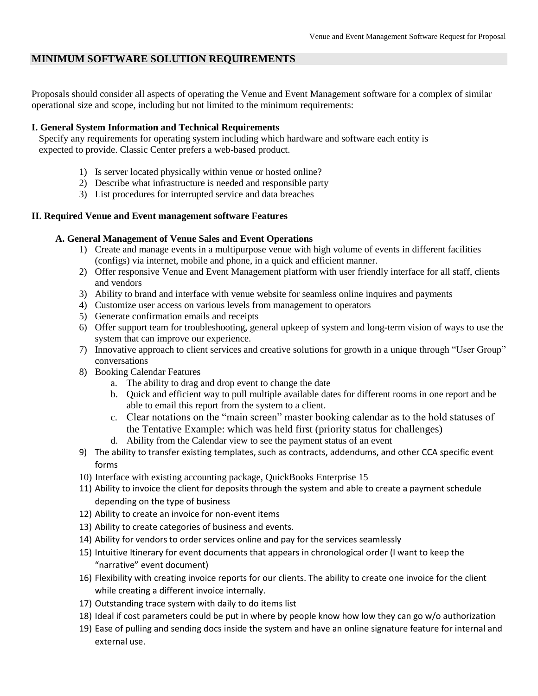# **MINIMUM SOFTWARE SOLUTION REQUIREMENTS**

Proposals should consider all aspects of operating the Venue and Event Management software for a complex of similar operational size and scope, including but not limited to the minimum requirements:

#### **I. General System Information and Technical Requirements**

 Specify any requirements for operating system including which hardware and software each entity is expected to provide. Classic Center prefers a web-based product.

- 1) Is server located physically within venue or hosted online?
- 2) Describe what infrastructure is needed and responsible party
- 3) List procedures for interrupted service and data breaches

#### **II. Required Venue and Event management software Features**

#### **A. General Management of Venue Sales and Event Operations**

- 1) Create and manage events in a multipurpose venue with high volume of events in different facilities (configs) via internet, mobile and phone, in a quick and efficient manner.
- 2) Offer responsive Venue and Event Management platform with user friendly interface for all staff, clients and vendors
- 3) Ability to brand and interface with venue website for seamless online inquires and payments
- 4) Customize user access on various levels from management to operators
- 5) Generate confirmation emails and receipts
- 6) Offer support team for troubleshooting, general upkeep of system and long-term vision of ways to use the system that can improve our experience.
- 7) Innovative approach to client services and creative solutions for growth in a unique through "User Group" conversations
- 8) Booking Calendar Features
	- a. The ability to drag and drop event to change the date
	- b. Quick and efficient way to pull multiple available dates for different rooms in one report and be able to email this report from the system to a client.
	- c. Clear notations on the "main screen" master booking calendar as to the hold statuses of the Tentative Example: which was held first (priority status for challenges)
	- d. Ability from the Calendar view to see the payment status of an event
- 9) The ability to transfer existing templates, such as contracts, addendums, and other CCA specific event forms
- 10) Interface with existing accounting package, QuickBooks Enterprise 15
- 11) Ability to invoice the client for deposits through the system and able to create a payment schedule depending on the type of business
- 12) Ability to create an invoice for non-event items
- 13) Ability to create categories of business and events.
- 14) Ability for vendors to order services online and pay for the services seamlessly
- 15) Intuitive Itinerary for event documents that appears in chronological order (I want to keep the "narrative" event document)
- 16) Flexibility with creating invoice reports for our clients. The ability to create one invoice for the client while creating a different invoice internally.
- 17) Outstanding trace system with daily to do items list
- 18) Ideal if cost parameters could be put in where by people know how low they can go w/o authorization
- 19) Ease of pulling and sending docs inside the system and have an online signature feature for internal and external use.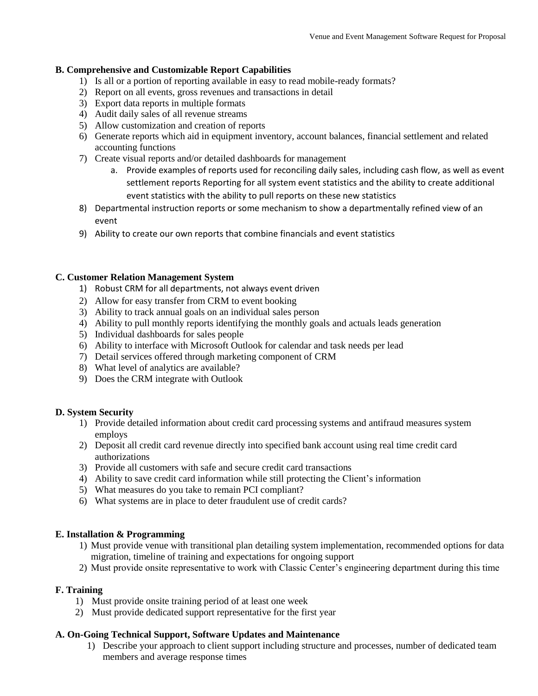### **B. Comprehensive and Customizable Report Capabilities**

- 1) Is all or a portion of reporting available in easy to read mobile-ready formats?
- 2) Report on all events, gross revenues and transactions in detail
- 3) Export data reports in multiple formats
- 4) Audit daily sales of all revenue streams
- 5) Allow customization and creation of reports
- 6) Generate reports which aid in equipment inventory, account balances, financial settlement and related accounting functions
- 7) Create visual reports and/or detailed dashboards for management
	- a. Provide examples of reports used for reconciling daily sales, including cash flow, as well as event settlement reports Reporting for all system event statistics and the ability to create additional event statistics with the ability to pull reports on these new statistics
- 8) Departmental instruction reports or some mechanism to show a departmentally refined view of an event
- 9) Ability to create our own reports that combine financials and event statistics

#### **C. Customer Relation Management System**

- 1) Robust CRM for all departments, not always event driven
- 2) Allow for easy transfer from CRM to event booking
- 3) Ability to track annual goals on an individual sales person
- 4) Ability to pull monthly reports identifying the monthly goals and actuals leads generation
- 5) Individual dashboards for sales people
- 6) Ability to interface with Microsoft Outlook for calendar and task needs per lead
- 7) Detail services offered through marketing component of CRM
- 8) What level of analytics are available?
- 9) Does the CRM integrate with Outlook

#### **D. System Security**

- 1) Provide detailed information about credit card processing systems and antifraud measures system employs
- 2) Deposit all credit card revenue directly into specified bank account using real time credit card authorizations
- 3) Provide all customers with safe and secure credit card transactions
- 4) Ability to save credit card information while still protecting the Client's information
- 5) What measures do you take to remain PCI compliant?
- 6) What systems are in place to deter fraudulent use of credit cards?

#### **E. Installation & Programming**

- 1) Must provide venue with transitional plan detailing system implementation, recommended options for data migration, timeline of training and expectations for ongoing support
- 2) Must provide onsite representative to work with Classic Center's engineering department during this time

# **F. Training**

- 1)Must provide onsite training period of at least one week
- 2) Must provide dedicated support representative for the first year

# **A. On-Going Technical Support, Software Updates and Maintenance**

1) Describe your approach to client support including structure and processes, number of dedicated team members and average response times